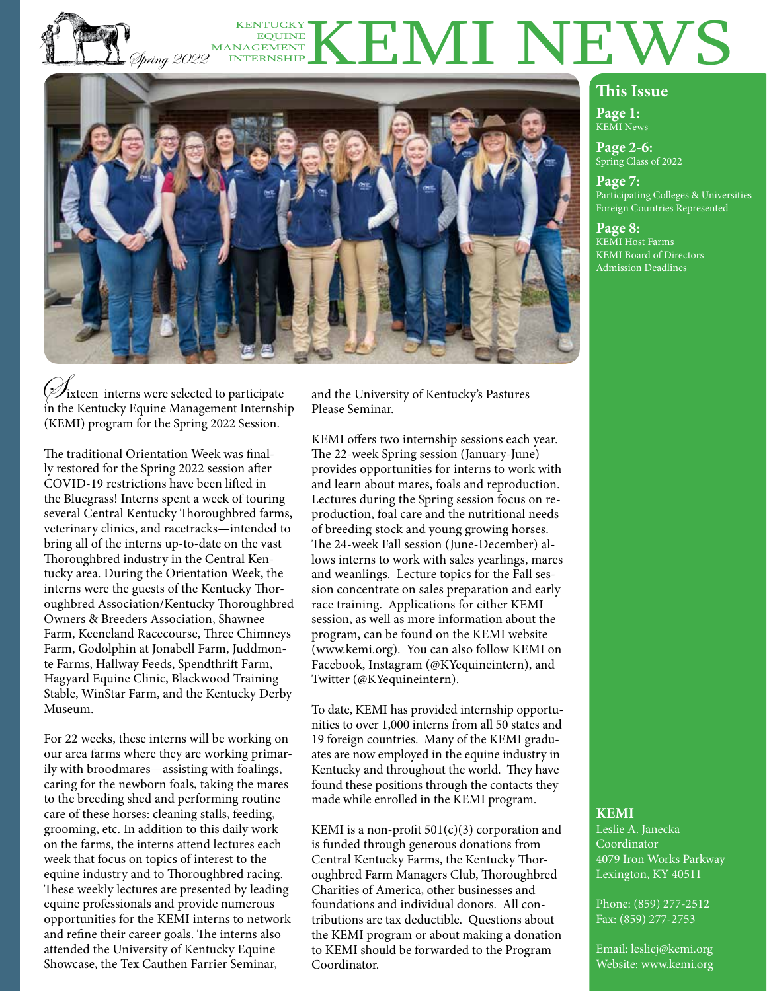#### P.O. Spring 2022 KENTUCKY KENTUCKY KENTUCKY EQUINE MANAGEMENT INTERNSHIP



 $\mathscr{D}% _{k}(G)$ ixteen) interns were selected to participate in the Kentucky Equine Management Internship (KEMI) program for the Spring 2022 Session.

The traditional Orientation Week was finally restored for the Spring 2022 session after COVID-19 restrictions have been lifted in the Bluegrass! Interns spent a week of touring several Central Kentucky Thoroughbred farms, veterinary clinics, and racetracks—intended to bring all of the interns up-to-date on the vast Thoroughbred industry in the Central Kentucky area. During the Orientation Week, the interns were the guests of the Kentucky Thoroughbred Association/Kentucky Thoroughbred Owners & Breeders Association, Shawnee Farm, Keeneland Racecourse, Three Chimneys Farm, Godolphin at Jonabell Farm, Juddmonte Farms, Hallway Feeds, Spendthrift Farm, Hagyard Equine Clinic, Blackwood Training Stable, WinStar Farm, and the Kentucky Derby Museum.

For 22 weeks, these interns will be working on our area farms where they are working primarily with broodmares—assisting with foalings, caring for the newborn foals, taking the mares to the breeding shed and performing routine care of these horses: cleaning stalls, feeding, grooming, etc. In addition to this daily work on the farms, the interns attend lectures each week that focus on topics of interest to the equine industry and to Thoroughbred racing. These weekly lectures are presented by leading equine professionals and provide numerous opportunities for the KEMI interns to network and refine their career goals. The interns also attended the University of Kentucky Equine Showcase, the Tex Cauthen Farrier Seminar,

and the University of Kentucky's Pastures Please Seminar.

KEMI offers two internship sessions each year. The 22-week Spring session (January-June) provides opportunities for interns to work with and learn about mares, foals and reproduction. Lectures during the Spring session focus on reproduction, foal care and the nutritional needs of breeding stock and young growing horses. The 24-week Fall session (June-December) allows interns to work with sales yearlings, mares and weanlings. Lecture topics for the Fall session concentrate on sales preparation and early race training. Applications for either KEMI session, as well as more information about the program, can be found on the KEMI website (www.kemi.org). You can also follow KEMI on Facebook, Instagram (@KYequineintern), and Twitter (@KYequineintern).

To date, KEMI has provided internship opportunities to over 1,000 interns from all 50 states and 19 foreign countries. Many of the KEMI graduates are now employed in the equine industry in Kentucky and throughout the world. They have found these positions through the contacts they made while enrolled in the KEMI program.

KEMI is a non-profit  $501(c)(3)$  corporation and is funded through generous donations from Central Kentucky Farms, the Kentucky Thoroughbred Farm Managers Club, Thoroughbred Charities of America, other businesses and foundations and individual donors. All contributions are tax deductible. Questions about the KEMI program or about making a donation to KEMI should be forwarded to the Program Coordinator.

#### **This Issue**

**Page 1:** KEMI News

**Page 2-6:** Spring Class of 2022

**Page 7:** Participating Colleges & Universities Foreign Countries Represented

**Page 8:** KEMI Host Farms KEMI Board of Directors Admission Deadlines

#### **KEMI**

Leslie A. Janecka Coordinator 4079 Iron Works Parkway Lexington, KY 40511

Phone: (859) 277-2512 Fax: (859) 277-2753

Email: lesliej@kemi.org Website: www.kemi.org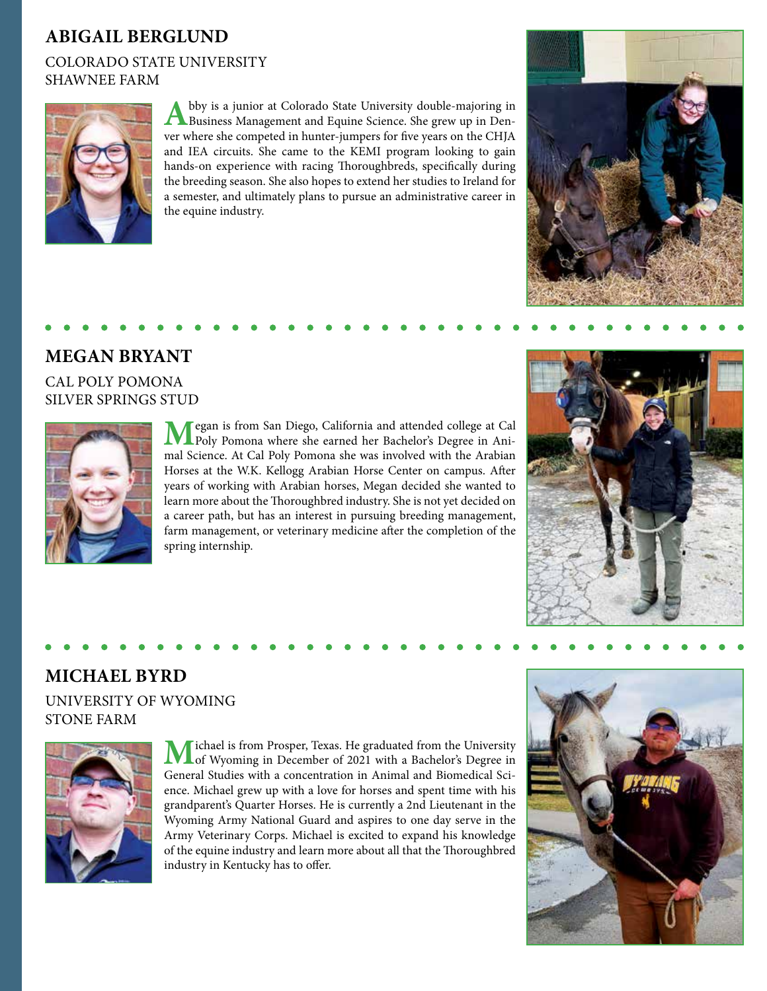## **ABIGAIL BERGLUND**

### COLORADO STATE UNIVERSITY SHAWNEE FARM



Abby is a junior at Colorado State University double-majoring in Business Management and Equine Science. She grew up in Denver where she competed in hunter-jumpers for five years on the CHJA and IEA circuits. She came to the KEMI program looking to gain hands-on experience with racing Thoroughbreds, specifically during the breeding season. She also hopes to extend her studies to Ireland for a semester, and ultimately plans to pursue an administrative career in the equine industry.



### **MEGAN BRYANT**

CAL POLY POMONA SILVER SPRINGS STUD



**M**egan is from San Diego, California and attended college at Cal Poly Pomona where she earned her Bachelor's Degree in Animal Science. At Cal Poly Pomona she was involved with the Arabian Horses at the W.K. Kellogg Arabian Horse Center on campus. After years of working with Arabian horses, Megan decided she wanted to learn more about the Thoroughbred industry. She is not yet decided on a career path, but has an interest in pursuing breeding management, farm management, or veterinary medicine after the completion of the spring internship.



## **MICHAEL BYRD**

### UNIVERSITY OF WYOMING STONE FARM



**M**ichael is from Prosper, Texas. He graduated from the University of Wyoming in December of 2021 with a Bachelor's Degree in General Studies with a concentration in Animal and Biomedical Science. Michael grew up with a love for horses and spent time with his grandparent's Quarter Horses. He is currently a 2nd Lieutenant in the Wyoming Army National Guard and aspires to one day serve in the Army Veterinary Corps. Michael is excited to expand his knowledge of the equine industry and learn more about all that the Thoroughbred industry in Kentucky has to offer.

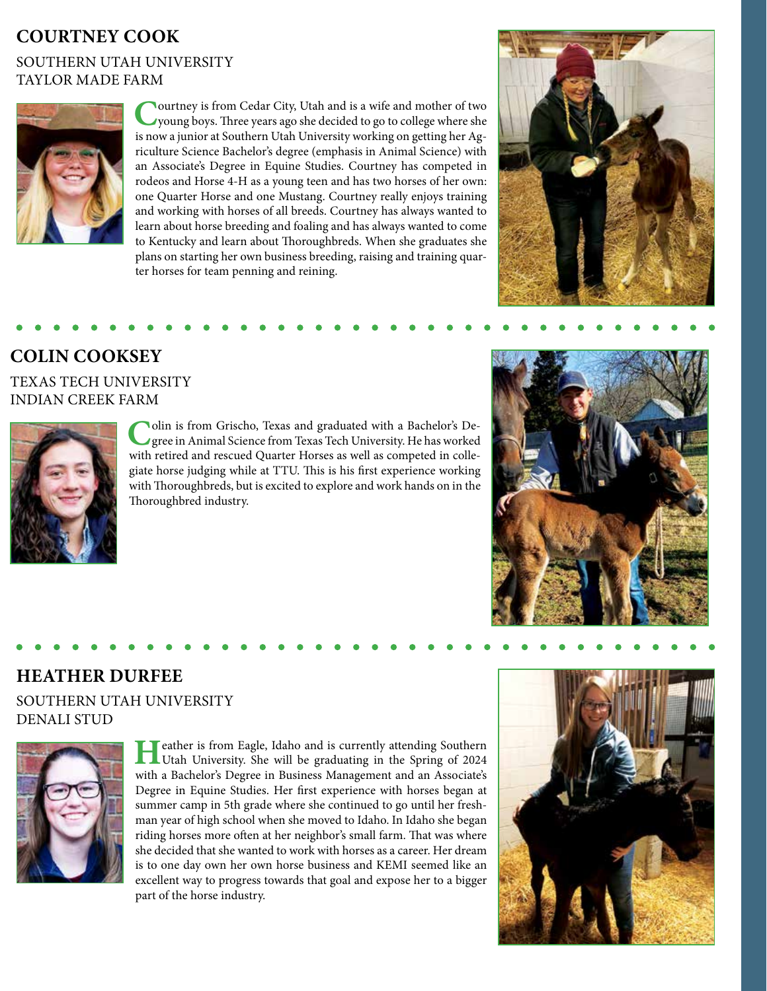## **COURTNEY COOK**

### SOUTHERN UTAH UNIVERSITY TAYLOR MADE FARM



**C**ourtney is from Cedar City, Utah and is a wife and mother of two young boys. Three years ago she decided to go to college where she is now a junior at Southern Utah University working on getting her Agriculture Science Bachelor's degree (emphasis in Animal Science) with an Associate's Degree in Equine Studies. Courtney has competed in rodeos and Horse 4-H as a young teen and has two horses of her own: one Quarter Horse and one Mustang. Courtney really enjoys training and working with horses of all breeds. Courtney has always wanted to learn about horse breeding and foaling and has always wanted to come to Kentucky and learn about Thoroughbreds. When she graduates she plans on starting her own business breeding, raising and training quarter horses for team penning and reining.



## **COLIN COOKSEY**

### TEXAS TECH UNIVERSITY INDIAN CREEK FARM



Colin is from Grischo, Texas and graduated with a Bachelor's Degree in Animal Science from Texas Tech University. He has worked with retired and rescued Quarter Horses as well as competed in collegiate horse judging while at TTU. This is his first experience working with Thoroughbreds, but is excited to explore and work hands on in the Thoroughbred industry.



## **HEATHER DURFEE**

### SOUTHERN UTAH UNIVERSITY DENALI STUD



**H**eather is from Eagle, Idaho and is currently attending Southern<br>Utah University. She will be graduating in the Spring of 2024 with a Bachelor's Degree in Business Management and an Associate's Degree in Equine Studies. Her first experience with horses began at summer camp in 5th grade where she continued to go until her freshman year of high school when she moved to Idaho. In Idaho she began riding horses more often at her neighbor's small farm. That was where she decided that she wanted to work with horses as a career. Her dream is to one day own her own horse business and KEMI seemed like an excellent way to progress towards that goal and expose her to a bigger part of the horse industry.

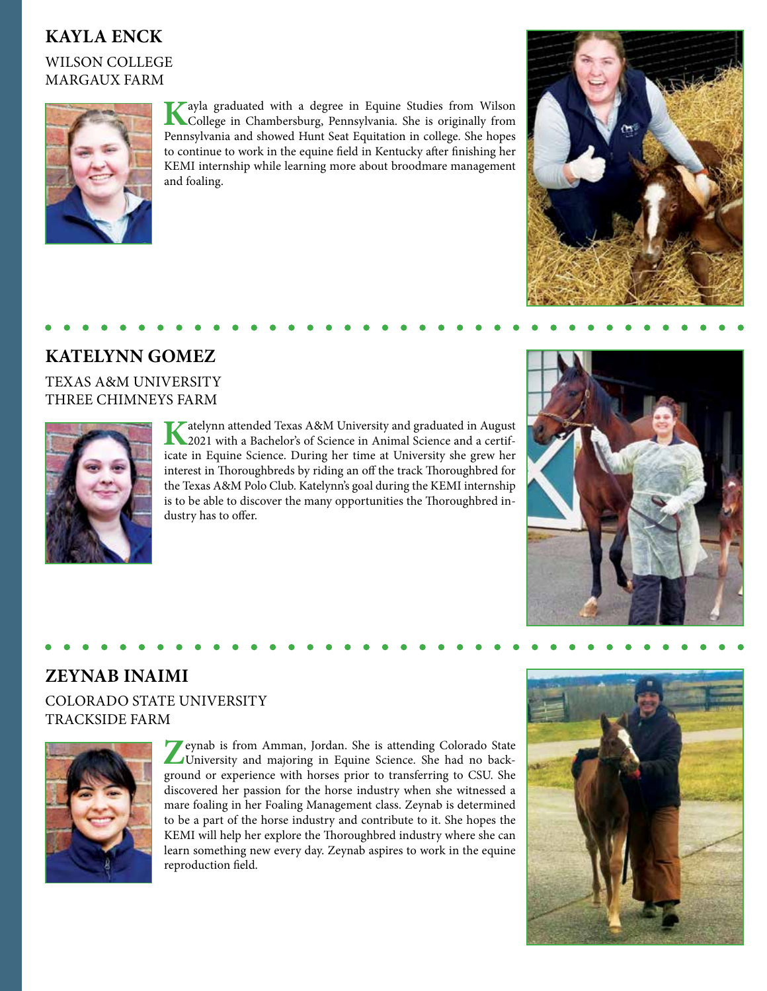## **KAYLA ENCK**

WILSON COLLEGE MARGAUX FARM



**K**ayla graduated with a degree in Equine Studies from Wilson College in Chambersburg, Pennsylvania. She is originally from Pennsylvania and showed Hunt Seat Equitation in college. She hopes to continue to work in the equine field in Kentucky after finishing her KEMI internship while learning more about broodmare management and foaling.



### **KATELYNN GOMEZ**

#### TEXAS A&M UNIVERSITY THREE CHIMNEYS FARM



**K**atelynn attended Texas A&M University and graduated in August 2021 with a Bachelor's of Science in Animal Science and a certificate in Equine Science. During her time at University she grew her interest in Thoroughbreds by riding an off the track Thoroughbred for the Texas A&M Polo Club. Katelynn's goal during the KEMI internship is to be able to discover the many opportunities the Thoroughbred industry has to offer.



### **ZEYNAB INAIMI** COLORADO STATE UNIVERSITY TRACKSIDE FARM



**Z**eynab is from Amman, Jordan. She is attending Colorado State University and majoring in Equine Science. She had no background or experience with horses prior to transferring to CSU. She discovered her passion for the horse industry when she witnessed a mare foaling in her Foaling Management class. Zeynab is determined to be a part of the horse industry and contribute to it. She hopes the KEMI will help her explore the Thoroughbred industry where she can learn something new every day. Zeynab aspires to work in the equine reproduction field.

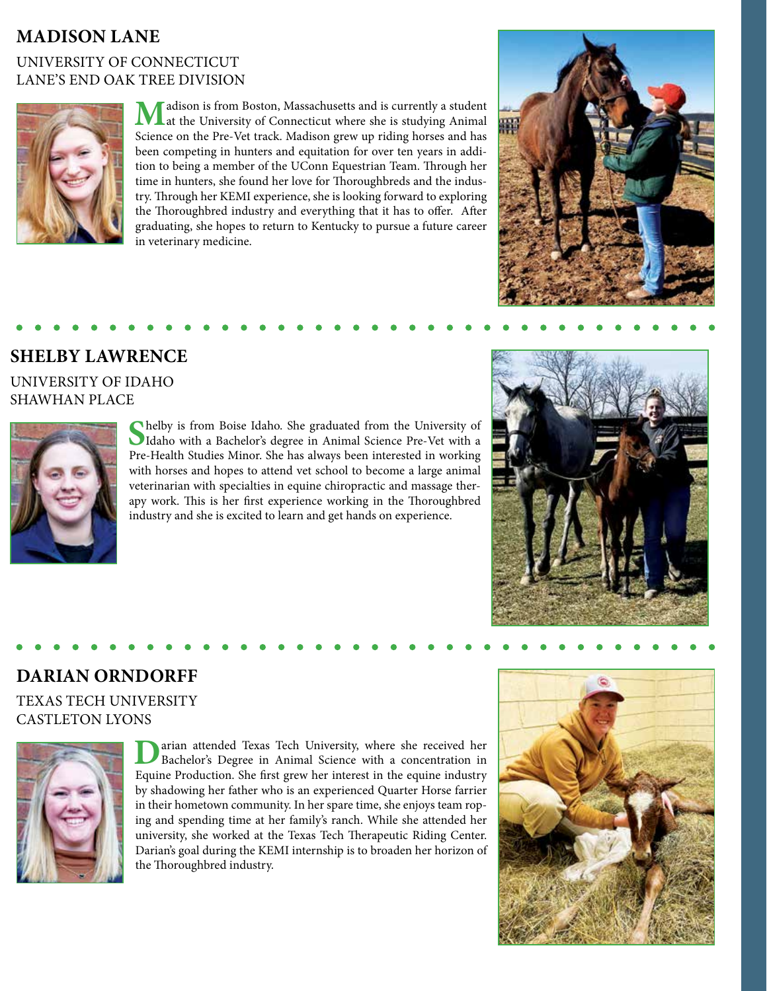## **MADISON LANE**

### UNIVERSITY OF CONNECTICUT LANE'S END OAK TREE DIVISION



**M**adison is from Boston, Massachusetts and is currently a student at the University of Connecticut where she is studying Animal Science on the Pre-Vet track. Madison grew up riding horses and has been competing in hunters and equitation for over ten years in addition to being a member of the UConn Equestrian Team. Through her time in hunters, she found her love for Thoroughbreds and the industry. Through her KEMI experience, she is looking forward to exploring the Thoroughbred industry and everything that it has to offer. After graduating, she hopes to return to Kentucky to pursue a future career in veterinary medicine.



### **SHELBY LAWRENCE**

UNIVERSITY OF IDAHO SHAWHAN PLACE



**S**helby is from Boise Idaho. She graduated from the University of Idaho with a Bachelor's degree in Animal Science Pre-Vet with a Pre-Health Studies Minor. She has always been interested in working with horses and hopes to attend vet school to become a large animal veterinarian with specialties in equine chiropractic and massage therapy work. This is her first experience working in the Thoroughbred industry and she is excited to learn and get hands on experience.



## **DARIAN ORNDORFF**

### TEXAS TECH UNIVERSITY CASTLETON LYONS



**D**arian attended Texas Tech University, where she received her Bachelor's Degree in Animal Science with a concentration in Equine Production. She first grew her interest in the equine industry by shadowing her father who is an experienced Quarter Horse farrier in their hometown community. In her spare time, she enjoys team roping and spending time at her family's ranch. While she attended her university, she worked at the Texas Tech Therapeutic Riding Center. Darian's goal during the KEMI internship is to broaden her horizon of the Thoroughbred industry.

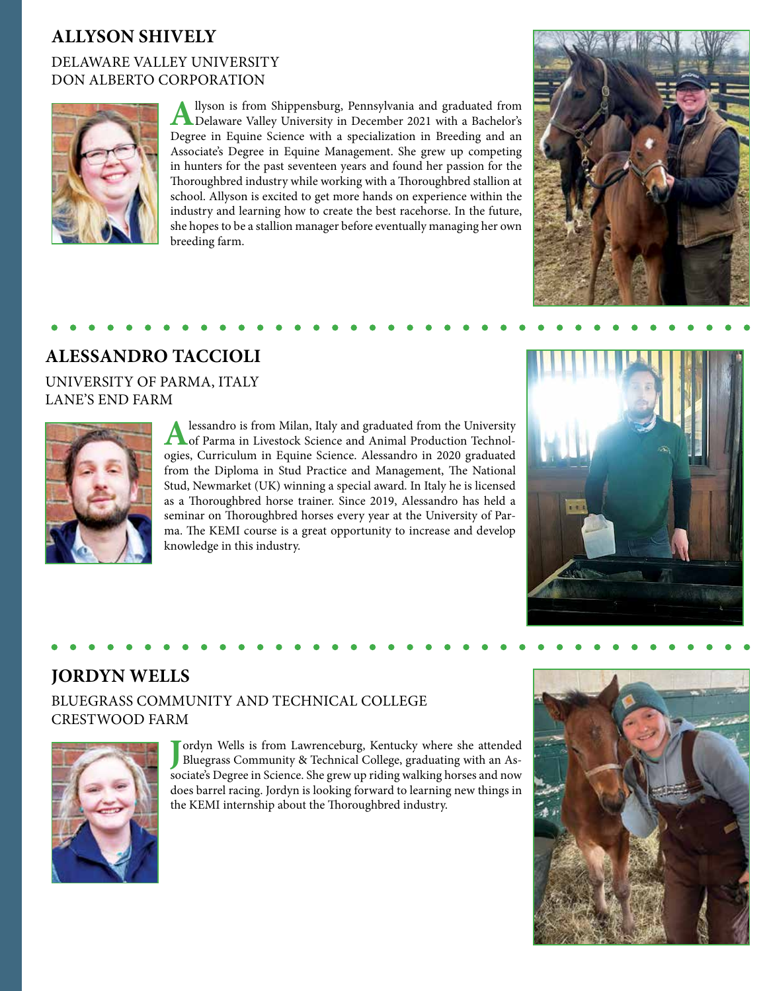## **ALLYSON SHIVELY**

### DELAWARE VALLEY UNIVERSITY DON ALBERTO CORPORATION



Allyson is from Shippensburg, Pennsylvania and graduated from Delaware Valley University in December 2021 with a Bachelor's Degree in Equine Science with a specialization in Breeding and an Associate's Degree in Equine Management. She grew up competing in hunters for the past seventeen years and found her passion for the Thoroughbred industry while working with a Thoroughbred stallion at school. Allyson is excited to get more hands on experience within the industry and learning how to create the best racehorse. In the future, she hopes to be a stallion manager before eventually managing her own breeding farm.



# **ALESSANDRO TACCIOLI**

UNIVERSITY OF PARMA, ITALY LANE'S END FARM



Alessandro is from Milan, Italy and graduated from the University of Parma in Livestock Science and Animal Production Technologies, Curriculum in Equine Science. Alessandro in 2020 graduated from the Diploma in Stud Practice and Management, The National Stud, Newmarket (UK) winning a special award. In Italy he is licensed as a Thoroughbred horse trainer. Since 2019, Alessandro has held a seminar on Thoroughbred horses every year at the University of Parma. The KEMI course is a great opportunity to increase and develop knowledge in this industry.



## **JORDYN WELLS**

### BLUEGRASS COMMUNITY AND TECHNICAL COLLEGE CRESTWOOD FARM



Jordyn Wells is from Lawrenceburg, Kentucky where she attended Bluegrass Community & Technical College, graduating with an Associate's Degree in Science. She grew up riding walking horses and now ordyn Wells is from Lawrenceburg, Kentucky where she attended Bluegrass Community & Technical College, graduating with an Asdoes barrel racing. Jordyn is looking forward to learning new things in the KEMI internship about the Thoroughbred industry.

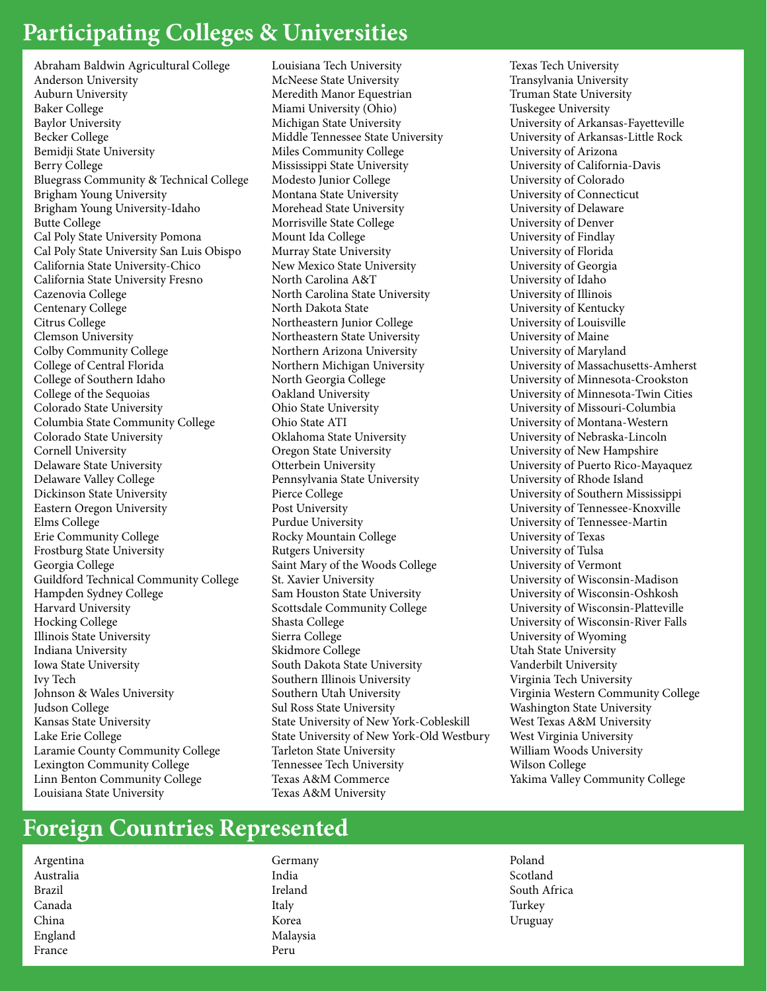## **Participating Colleges & Universities**

Abraham Baldwin Agricultural College Anderson University Auburn University Baker College Baylor University Becker College Bemidji State University Berry College Bluegrass Community & Technical College Brigham Young University Brigham Young University-Idaho Butte College Cal Poly State University Pomona Cal Poly State University San Luis Obispo California State University-Chico California State University Fresno Cazenovia College Centenary College Citrus College Clemson University Colby Community College College of Central Florida College of Southern Idaho College of the Sequoias Colorado State University Columbia State Community College Colorado State University Cornell University Delaware State University Delaware Valley College Dickinson State University Eastern Oregon University Elms College Erie Community College Frostburg State University Georgia College Guildford Technical Community College Hampden Sydney College Harvard University Hocking College Illinois State University Indiana University Iowa State University Ivy Tech Johnson & Wales University Judson College Kansas State University Lake Erie College Laramie County Community College Lexington Community College Linn Benton Community College Louisiana State University

Louisiana Tech University McNeese State University Meredith Manor Equestrian Miami University (Ohio) Michigan State University Middle Tennessee State University Miles Community College Mississippi State University Modesto Junior College Montana State University Morehead State University Morrisville State College Mount Ida College Murray State University New Mexico State University North Carolina A&T North Carolina State University North Dakota State Northeastern Junior College Northeastern State University Northern Arizona University Northern Michigan University North Georgia College Oakland University Ohio State University Ohio State ATI Oklahoma State University Oregon State University Otterbein University Pennsylvania State University Pierce College Post University Purdue University Rocky Mountain College Rutgers University Saint Mary of the Woods College St. Xavier University Sam Houston State University Scottsdale Community College Shasta College Sierra College Skidmore College South Dakota State University Southern Illinois University Southern Utah University Sul Ross State University State University of New York-Cobleskill State University of New York-Old Westbury Tarleton State University Tennessee Tech University Texas A&M Commerce Texas A&M University

Texas Tech University Transylvania University Truman State University Tuskegee University University of Arkansas-Fayetteville University of Arkansas-Little Rock University of Arizona University of California-Davis University of Colorado University of Connecticut University of Delaware University of Denver University of Findlay University of Florida University of Georgia University of Idaho University of Illinois University of Kentucky University of Louisville University of Maine University of Maryland University of Massachusetts-Amherst University of Minnesota-Crookston University of Minnesota-Twin Cities University of Missouri-Columbia University of Montana-Western University of Nebraska-Lincoln University of New Hampshire University of Puerto Rico-Mayaquez University of Rhode Island University of Southern Mississippi University of Tennessee-Knoxville University of Tennessee-Martin University of Texas University of Tulsa University of Vermont University of Wisconsin-Madison University of Wisconsin-Oshkosh University of Wisconsin-Platteville University of Wisconsin-River Falls University of Wyoming Utah State University Vanderbilt University Virginia Tech University Virginia Western Community College Washington State University West Texas A&M University West Virginia University William Woods University Wilson College Yakima Valley Community College

## **Foreign Countries Represented**

Argentina Australia Brazil Canada China England France

Germany India Ireland Italy Korea Malaysia Peru

Poland Scotland South Africa Turkey Uruguay